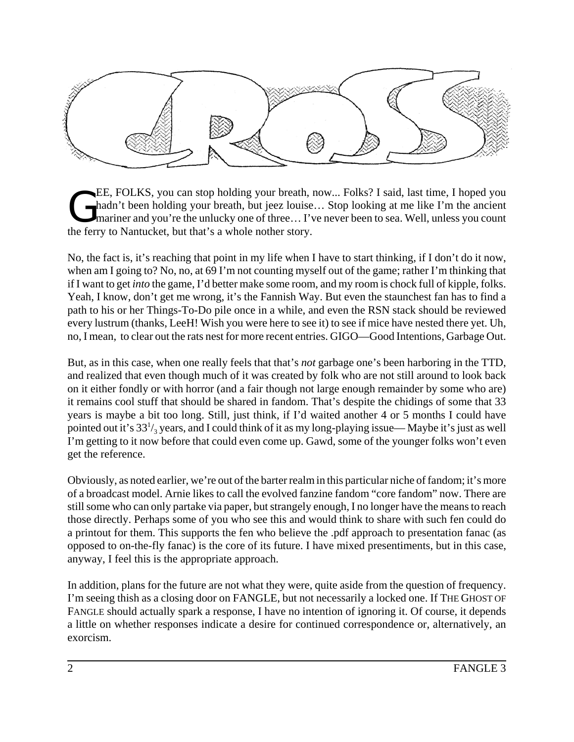

EE, FOLKS, you can stop holding your breath, now... Folks? I said, last time, I hoped you<br>hadn't been holding your breath, but jeez louise... Stop looking at me like I'm the ancient<br>mariner and you're the unlucky one of th hadn't been holding your breath, but jeez louise… Stop looking at me like I'm the ancient I mariner and you're the unlucky one of three... I've never been to sea. Well, unless you count the ferry to Nantucket, but that's a whole nother story.

No, the fact is, it's reaching that point in my life when I have to start thinking, if I don't do it now, when am I going to? No, no, at 69 I'm not counting myself out of the game; rather I'm thinking that if I want to get *into* the game, I'd better make some room, and my room is chock full of kipple, folks. Yeah, I know, don't get me wrong, it's the Fannish Way. But even the staunchest fan has to find a path to his or her Things-To-Do pile once in a while, and even the RSN stack should be reviewed every lustrum (thanks, LeeH! Wish you were here to see it) to see if mice have nested there yet. Uh, no, I mean, to clear out the rats nest for more recent entries. GIGO—Good Intentions, Garbage Out.

But, as in this case, when one really feels that that's *not* garbage one's been harboring in the TTD, and realized that even though much of it was created by folk who are not still around to look back on it either fondly or with horror (and a fair though not large enough remainder by some who are) it remains cool stuff that should be shared in fandom. That's despite the chidings of some that 33 years is maybe a bit too long. Still, just think, if I'd waited another 4 or 5 months I could have pointed out it's 33 $\mathrm{l}_3$  years, and I could think of it as my long-playing issue— Maybe it's just as well I'm getting to it now before that could even come up. Gawd, some of the younger folks won't even get the reference.

Obviously, as noted earlier, we're out of the barter realm in this particular niche of fandom; it's more of a broadcast model. Arnie likes to call the evolved fanzine fandom "core fandom" now. There are still some who can only partake via paper, but strangely enough, I no longer have the means to reach those directly. Perhaps some of you who see this and would think to share with such fen could do a printout for them. This supports the fen who believe the .pdf approach to presentation fanac (as opposed to on-the-fly fanac) is the core of its future. I have mixed presentiments, but in this case, anyway, I feel this is the appropriate approach.

In addition, plans for the future are not what they were, quite aside from the question of frequency. I'm seeing thish as a closing door on FANGLE, but not necessarily a locked one. If THE GHOST OF FANGLE should actually spark a response, I have no intention of ignoring it. Of course, it depends a little on whether responses indicate a desire for continued correspondence or, alternatively, an exorcism.